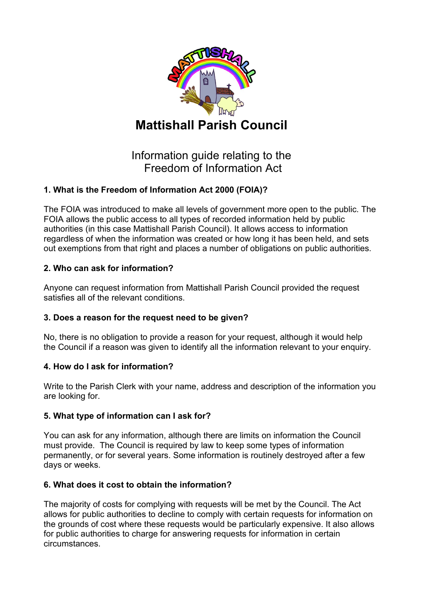

# Information guide relating to the Freedom of Information Act

## **1. What is the Freedom of Information Act 2000 (FOIA)?**

The FOIA was introduced to make all levels of government more open to the public. The FOIA allows the public access to all types of recorded information held by public authorities (in this case Mattishall Parish Council). It allows access to information regardless of when the information was created or how long it has been held, and sets out exemptions from that right and places a number of obligations on public authorities.

### **2. Who can ask for information?**

Anyone can request information from Mattishall Parish Council provided the request satisfies all of the relevant conditions.

#### **3. Does a reason for the request need to be given?**

No, there is no obligation to provide a reason for your request, although it would help the Council if a reason was given to identify all the information relevant to your enquiry.

#### **4. How do I ask for information?**

Write to the Parish Clerk with your name, address and description of the information you are looking for.

### **5. What type of information can I ask for?**

You can ask for any information, although there are limits on information the Council must provide. The Council is required by law to keep some types of information permanently, or for several years. Some information is routinely destroyed after a few days or weeks.

#### **6. What does it cost to obtain the information?**

The majority of costs for complying with requests will be met by the Council. The Act allows for public authorities to decline to comply with certain requests for information on the grounds of cost where these requests would be particularly expensive. It also allows for public authorities to charge for answering requests for information in certain circumstances.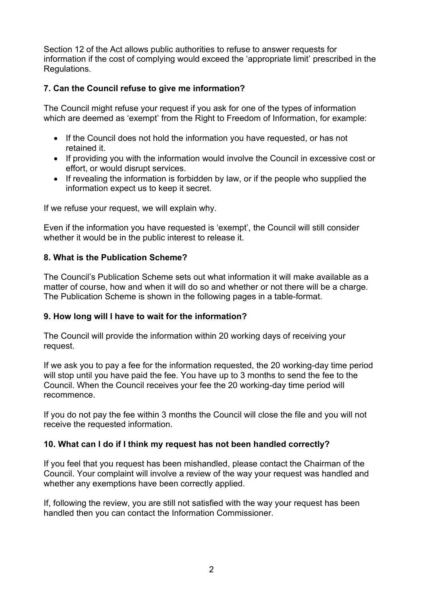Section 12 of the Act allows public authorities to refuse to answer requests for information if the cost of complying would exceed the 'appropriate limit' prescribed in the Regulations.

#### **7. Can the Council refuse to give me information?**

The Council might refuse your request if you ask for one of the types of information which are deemed as 'exempt' from the Right to Freedom of Information, for example:

- If the Council does not hold the information you have requested, or has not retained it.
- If providing you with the information would involve the Council in excessive cost or effort, or would disrupt services.
- If revealing the information is forbidden by law, or if the people who supplied the information expect us to keep it secret.

If we refuse your request, we will explain why.

Even if the information you have requested is 'exempt', the Council will still consider whether it would be in the public interest to release it.

#### **8. What is the Publication Scheme?**

The Council's Publication Scheme sets out what information it will make available as a matter of course, how and when it will do so and whether or not there will be a charge. The Publication Scheme is shown in the following pages in a table-format.

#### **9. How long will I have to wait for the information?**

The Council will provide the information within 20 working days of receiving your request.

If we ask you to pay a fee for the information requested, the 20 working-day time period will stop until you have paid the fee. You have up to 3 months to send the fee to the Council. When the Council receives your fee the 20 working-day time period will recommence.

If you do not pay the fee within 3 months the Council will close the file and you will not receive the requested information.

#### **10. What can I do if I think my request has not been handled correctly?**

If you feel that you request has been mishandled, please contact the Chairman of the Council. Your complaint will involve a review of the way your request was handled and whether any exemptions have been correctly applied.

If, following the review, you are still not satisfied with the way your request has been handled then you can contact the Information Commissioner.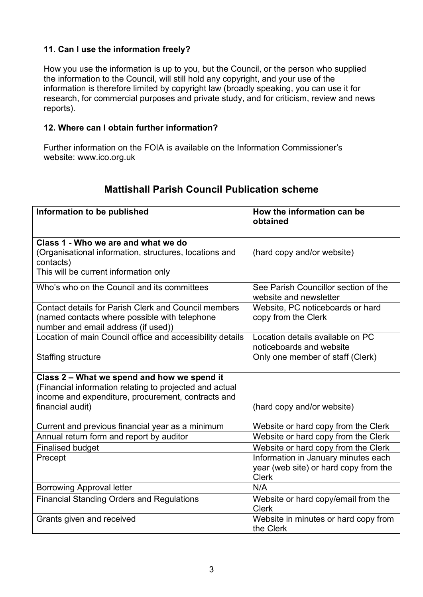#### **11. Can I use the information freely?**

How you use the information is up to you, but the Council, or the person who supplied the information to the Council, will still hold any copyright, and your use of the information is therefore limited by copyright law (broadly speaking, you can use it for research, for commercial purposes and private study, and for criticism, review and news reports).

#### **12. Where can I obtain further information?**

Further information on the FOIA is available on the Information Commissioner's website: www.ico.org.uk

| Information to be published                                                          | How the information can be<br>obtained                         |  |
|--------------------------------------------------------------------------------------|----------------------------------------------------------------|--|
|                                                                                      |                                                                |  |
| Class 1 - Who we are and what we do                                                  |                                                                |  |
| (Organisational information, structures, locations and<br>contacts)                  | (hard copy and/or website)                                     |  |
| This will be current information only                                                |                                                                |  |
| Who's who on the Council and its committees                                          | See Parish Councillor section of the<br>website and newsletter |  |
| <b>Contact details for Parish Clerk and Council members</b>                          | Website, PC noticeboards or hard                               |  |
| (named contacts where possible with telephone<br>number and email address (if used)) | copy from the Clerk                                            |  |
| Location of main Council office and accessibility details                            | Location details available on PC                               |  |
|                                                                                      | noticeboards and website                                       |  |
| <b>Staffing structure</b>                                                            | Only one member of staff (Clerk)                               |  |
|                                                                                      |                                                                |  |
| Class 2 - What we spend and how we spend it                                          |                                                                |  |
| (Financial information relating to projected and actual                              |                                                                |  |
| income and expenditure, procurement, contracts and                                   |                                                                |  |
| financial audit)                                                                     | (hard copy and/or website)                                     |  |
| Current and previous financial year as a minimum                                     | Website or hard copy from the Clerk                            |  |
| Annual return form and report by auditor                                             | Website or hard copy from the Clerk                            |  |
| <b>Finalised budget</b>                                                              | Website or hard copy from the Clerk                            |  |
| Precept                                                                              | Information in January minutes each                            |  |
|                                                                                      | year (web site) or hard copy from the                          |  |
|                                                                                      | <b>Clerk</b>                                                   |  |
| <b>Borrowing Approval letter</b>                                                     | N/A                                                            |  |
| <b>Financial Standing Orders and Regulations</b>                                     | Website or hard copy/email from the                            |  |
|                                                                                      | <b>Clerk</b>                                                   |  |
| Grants given and received                                                            | Website in minutes or hard copy from                           |  |
|                                                                                      | the Clerk                                                      |  |

## **Mattishall Parish Council Publication scheme**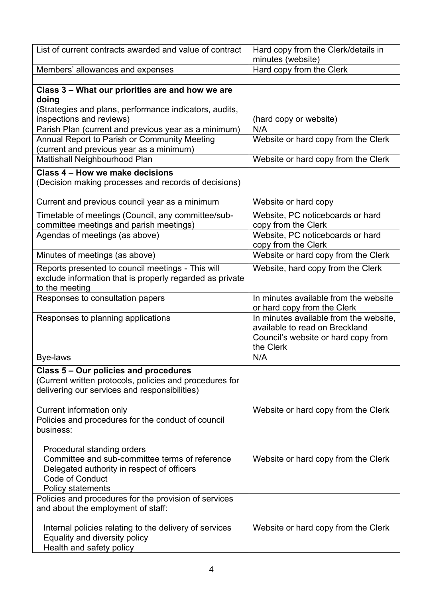| List of current contracts awarded and value of contract                                                                                           | Hard copy from the Clerk/details in<br>minutes (website)                                                                     |  |
|---------------------------------------------------------------------------------------------------------------------------------------------------|------------------------------------------------------------------------------------------------------------------------------|--|
| Members' allowances and expenses                                                                                                                  | Hard copy from the Clerk                                                                                                     |  |
|                                                                                                                                                   |                                                                                                                              |  |
| Class 3 - What our priorities are and how we are<br>doing<br>(Strategies and plans, performance indicators, audits,                               |                                                                                                                              |  |
| inspections and reviews)                                                                                                                          | (hard copy or website)                                                                                                       |  |
| Parish Plan (current and previous year as a minimum)                                                                                              | N/A                                                                                                                          |  |
| Annual Report to Parish or Community Meeting                                                                                                      | Website or hard copy from the Clerk                                                                                          |  |
| (current and previous year as a minimum)                                                                                                          |                                                                                                                              |  |
| Mattishall Neighbourhood Plan                                                                                                                     | Website or hard copy from the Clerk                                                                                          |  |
| Class 4 - How we make decisions<br>(Decision making processes and records of decisions)                                                           |                                                                                                                              |  |
| Current and previous council year as a minimum                                                                                                    | Website or hard copy                                                                                                         |  |
| Timetable of meetings (Council, any committee/sub-<br>committee meetings and parish meetings)                                                     | Website, PC noticeboards or hard<br>copy from the Clerk                                                                      |  |
| Agendas of meetings (as above)                                                                                                                    | Website, PC noticeboards or hard<br>copy from the Clerk                                                                      |  |
| Minutes of meetings (as above)                                                                                                                    | Website or hard copy from the Clerk                                                                                          |  |
| Reports presented to council meetings - This will<br>exclude information that is properly regarded as private<br>to the meeting                   | Website, hard copy from the Clerk                                                                                            |  |
| Responses to consultation papers                                                                                                                  | In minutes available from the website<br>or hard copy from the Clerk                                                         |  |
| Responses to planning applications                                                                                                                | In minutes available from the website,<br>available to read on Breckland<br>Council's website or hard copy from<br>the Clerk |  |
| <b>Bye-laws</b>                                                                                                                                   | N/A                                                                                                                          |  |
| Class 5 - Our policies and procedures<br>(Current written protocols, policies and procedures for<br>delivering our services and responsibilities) |                                                                                                                              |  |
| Current information only                                                                                                                          | Website or hard copy from the Clerk                                                                                          |  |
| Policies and procedures for the conduct of council<br>business:                                                                                   |                                                                                                                              |  |
| Procedural standing orders<br>Committee and sub-committee terms of reference<br>Delegated authority in respect of officers<br>Code of Conduct     | Website or hard copy from the Clerk                                                                                          |  |
| Policy statements                                                                                                                                 |                                                                                                                              |  |
| Policies and procedures for the provision of services<br>and about the employment of staff:                                                       |                                                                                                                              |  |
| Internal policies relating to the delivery of services<br>Equality and diversity policy<br>Health and safety policy                               | Website or hard copy from the Clerk                                                                                          |  |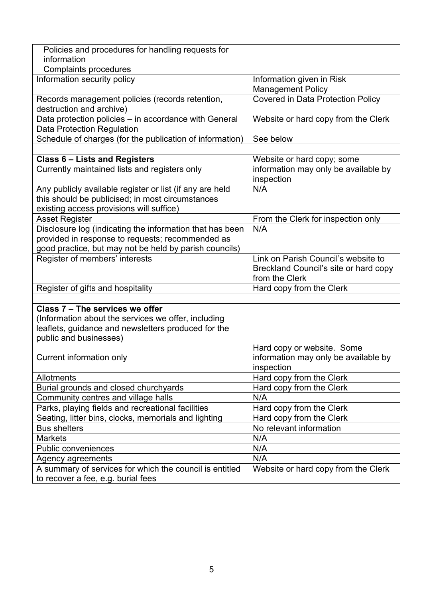| Policies and procedures for handling requests for                                          |                                          |  |
|--------------------------------------------------------------------------------------------|------------------------------------------|--|
| information                                                                                |                                          |  |
| <b>Complaints procedures</b>                                                               |                                          |  |
| Information security policy                                                                | Information given in Risk                |  |
|                                                                                            | <b>Management Policy</b>                 |  |
| Records management policies (records retention,                                            | <b>Covered in Data Protection Policy</b> |  |
| destruction and archive)                                                                   |                                          |  |
| Data protection policies - in accordance with General<br><b>Data Protection Regulation</b> | Website or hard copy from the Clerk      |  |
| Schedule of charges (for the publication of information)                                   | See below                                |  |
|                                                                                            |                                          |  |
| <b>Class 6 - Lists and Registers</b>                                                       | Website or hard copy; some               |  |
| Currently maintained lists and registers only                                              | information may only be available by     |  |
|                                                                                            | inspection                               |  |
| Any publicly available register or list (if any are held                                   | N/A                                      |  |
| this should be publicised; in most circumstances                                           |                                          |  |
| existing access provisions will suffice)                                                   |                                          |  |
| <b>Asset Register</b>                                                                      | From the Clerk for inspection only       |  |
| Disclosure log (indicating the information that has been                                   | N/A                                      |  |
| provided in response to requests; recommended as                                           |                                          |  |
| good practice, but may not be held by parish councils)                                     |                                          |  |
| Register of members' interests                                                             | Link on Parish Council's website to      |  |
|                                                                                            | Breckland Council's site or hard copy    |  |
|                                                                                            | from the Clerk                           |  |
| Register of gifts and hospitality                                                          | Hard copy from the Clerk                 |  |
|                                                                                            |                                          |  |
| Class 7 - The services we offer                                                            |                                          |  |
| (Information about the services we offer, including                                        |                                          |  |
| leaflets, guidance and newsletters produced for the                                        |                                          |  |
| public and businesses)                                                                     |                                          |  |
|                                                                                            | Hard copy or website. Some               |  |
| Current information only                                                                   | information may only be available by     |  |
|                                                                                            | inspection                               |  |
| Allotments                                                                                 | Hard copy from the Clerk                 |  |
| Burial grounds and closed churchyards                                                      | Hard copy from the Clerk                 |  |
| Community centres and village halls                                                        | N/A                                      |  |
| Parks, playing fields and recreational facilities                                          | Hard copy from the Clerk                 |  |
| Seating, litter bins, clocks, memorials and lighting                                       | Hard copy from the Clerk                 |  |
| <b>Bus shelters</b>                                                                        | No relevant information                  |  |
| <b>Markets</b>                                                                             | N/A                                      |  |
| <b>Public conveniences</b>                                                                 | N/A                                      |  |
| Agency agreements                                                                          | N/A                                      |  |
| A summary of services for which the council is entitled                                    | Website or hard copy from the Clerk      |  |
| to recover a fee, e.g. burial fees                                                         |                                          |  |